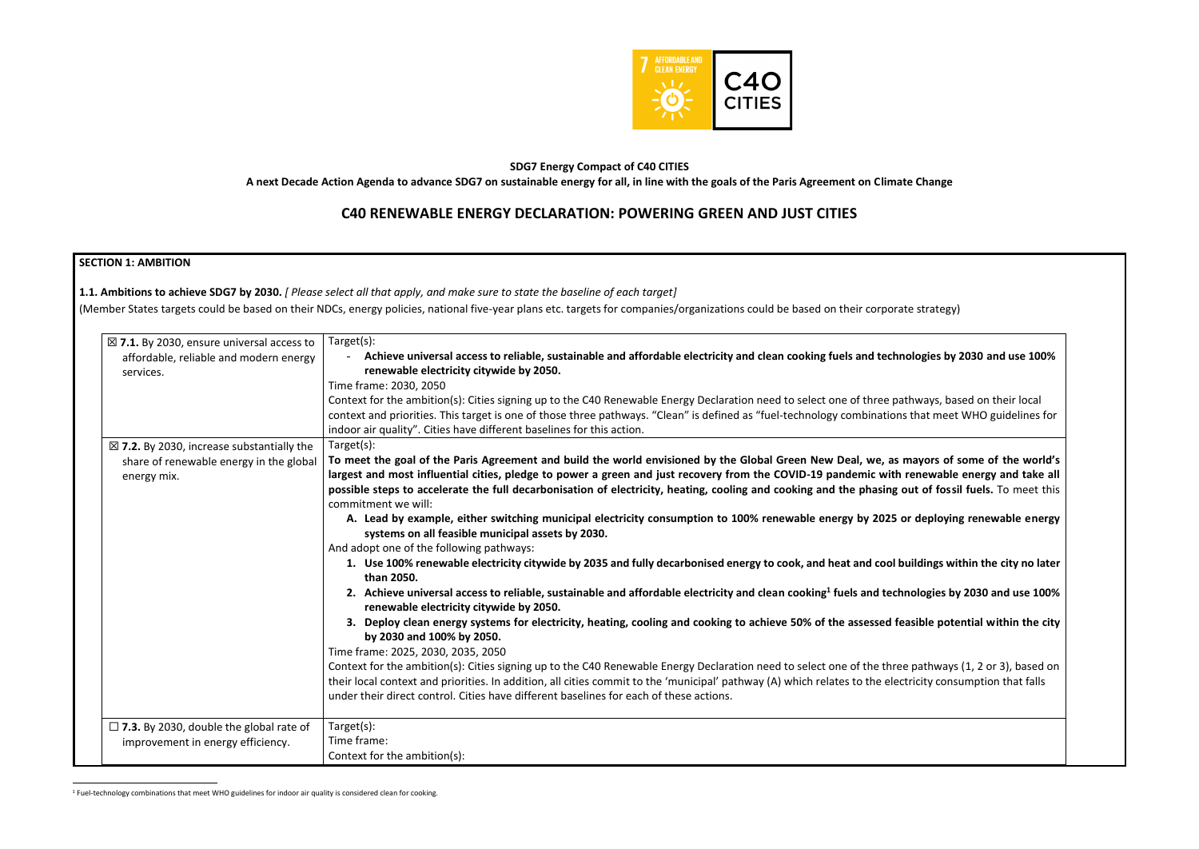

# **SDG7 Energy Compact of C40 CITIES**

**A next Decade Action Agenda to advance SDG7 on sustainable energy for all, in line with the goals of the Paris Agreement on Climate Change**

# **C40 RENEWABLE ENERGY DECLARATION: POWERING GREEN AND JUST CITIES**

# **SECTION 1: AMBITION**

| services.                                                                                                      | Achieve universal access to reliable, sustainable and affordable electricity and clean cooking fuels and technologies by 2030 and use 100%<br>renewable electricity citywide by 2050.<br>Time frame: 2030, 2050<br>Context for the ambition(s): Cities signing up to the C40 Renewable Energy Declaration need to select one of three pathways, based on their local<br>context and priorities. This target is one of those three pathways. "Clean" is defined as "fuel-technology combinations that meet WHO guidelines for<br>indoor air quality". Cities have different baselines for this action.                                                                                                                                                                                                                                                                                                                                                                                                                                                                                                                                                                                                                                                                                                                                                                                                                                                                                   |
|----------------------------------------------------------------------------------------------------------------|-----------------------------------------------------------------------------------------------------------------------------------------------------------------------------------------------------------------------------------------------------------------------------------------------------------------------------------------------------------------------------------------------------------------------------------------------------------------------------------------------------------------------------------------------------------------------------------------------------------------------------------------------------------------------------------------------------------------------------------------------------------------------------------------------------------------------------------------------------------------------------------------------------------------------------------------------------------------------------------------------------------------------------------------------------------------------------------------------------------------------------------------------------------------------------------------------------------------------------------------------------------------------------------------------------------------------------------------------------------------------------------------------------------------------------------------------------------------------------------------|
| $\boxtimes$ 7.2. By 2030, increase substantially the<br>share of renewable energy in the global<br>energy mix. | Target(s):<br>To meet the goal of the Paris Agreement and build the world envisioned by the Global Green New Deal, we, as mayors of some of the world's<br>largest and most influential cities, pledge to power a green and just recovery from the COVID-19 pandemic with renewable energy and take all<br>possible steps to accelerate the full decarbonisation of electricity, heating, cooling and cooking and the phasing out of fossil fuels. To meet this<br>commitment we will:<br>A. Lead by example, either switching municipal electricity consumption to 100% renewable energy by 2025 or deploying renewable energy<br>systems on all feasible municipal assets by 2030.<br>And adopt one of the following pathways:<br>1. Use 100% renewable electricity citywide by 2035 and fully decarbonised energy to cook, and heat and cool buildings within the city no later<br>than 2050.<br>2. Achieve universal access to reliable, sustainable and affordable electricity and clean cooking <sup>1</sup> fuels and technologies by 2030 and use 100%<br>renewable electricity citywide by 2050.<br>3. Deploy clean energy systems for electricity, heating, cooling and cooking to achieve 50% of the assessed feasible potential within the city<br>by 2030 and 100% by 2050.<br>Time frame: 2025, 2030, 2035, 2050<br>Context for the ambition(s): Cities signing up to the C40 Renewable Energy Declaration need to select one of the three pathways (1, 2 or 3), based on |
|                                                                                                                | their local context and priorities. In addition, all cities commit to the 'municipal' pathway (A) which relates to the electricity consumption that falls<br>under their direct control. Cities have different baselines for each of these actions.                                                                                                                                                                                                                                                                                                                                                                                                                                                                                                                                                                                                                                                                                                                                                                                                                                                                                                                                                                                                                                                                                                                                                                                                                                     |

<sup>1</sup> Fuel-technology combinations that meet WHO guidelines for indoor air quality is considered clean for cooking.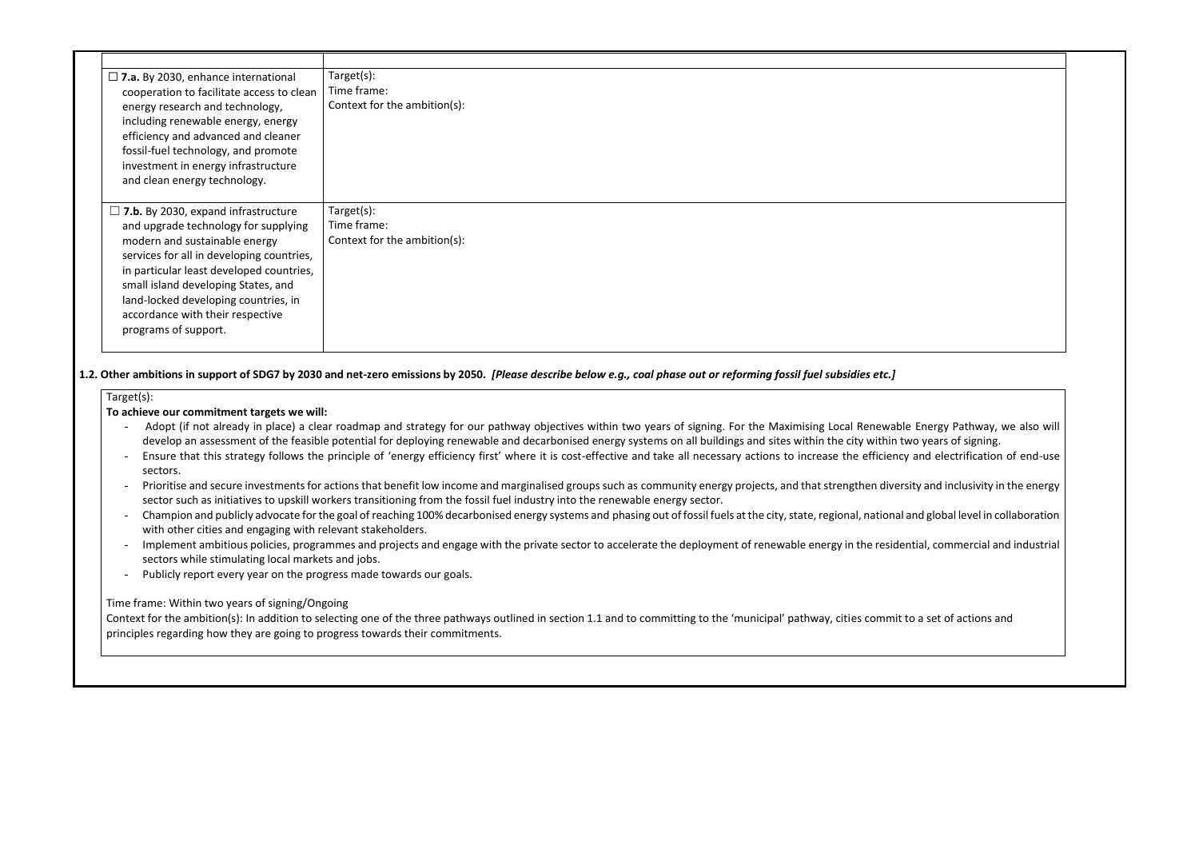| $\square$ 7.a. By 2030, enhance international<br>cooperation to facilitate access to clean<br>energy research and technology,<br>including renewable energy, energy<br>efficiency and advanced and cleaner<br>fossil-fuel technology, and promote<br>investment in energy infrastructure<br>and clean energy technology.                                | Target(s):<br>Time frame:<br>Context for the ambition(s): |
|---------------------------------------------------------------------------------------------------------------------------------------------------------------------------------------------------------------------------------------------------------------------------------------------------------------------------------------------------------|-----------------------------------------------------------|
| $\Box$ 7.b. By 2030, expand infrastructure<br>and upgrade technology for supplying<br>modern and sustainable energy<br>services for all in developing countries,<br>in particular least developed countries,<br>small island developing States, and<br>land-locked developing countries, in<br>accordance with their respective<br>programs of support. | Target(s):<br>Time frame:<br>Context for the ambition(s): |

# **1.2. Other ambitions in support of SDG7 by 2030 and net-zero emissions by 2050.** *[Please describe below e.g., coal phase out or reforming fossil fuel subsidies etc.]*

#### Target(s):

### **To achieve our commitment targets we will:**

- Adopt (if not already in place) a clear roadmap and strategy for our pathway objectives within two years of signing. For the Maximising Local Renewable Energy Pathway, we also will develop an assessment of the feasible potential for deploying renewable and decarbonised energy systems on all buildings and sites within the city within two years of signing.
- Ensure that this strategy follows the principle of 'energy efficiency first' where it is cost-effective and take all necessary actions to increase the efficiency and electrification of end-use sectors.
- Prioritise and secure investments for actions that benefit low income and marginalised groups such as community energy projects, and that strengthen diversity and inclusivity in the energy sector such as initiatives to upskill workers transitioning from the fossil fuel industry into the renewable energy sector.
- Champion and publicly advocate for the goal of reaching 100% decarbonised energy systems and phasing out of fossil fuels at the city, state, regional, national and global level in collaboration with other cities and engaging with relevant stakeholders.
- Implement ambitious policies, programmes and projects and engage with the private sector to accelerate the deployment of renewable energy in the residential, commercial and industrial sectors while stimulating local markets and jobs.
- Publicly report every year on the progress made towards our goals.

### Time frame: Within two years of signing/Ongoing

Context for the ambition(s): In addition to selecting one of the three pathways outlined in section 1.1 and to committing to the 'municipal' pathway, cities commit to a set of actions and principles regarding how they are going to progress towards their commitments.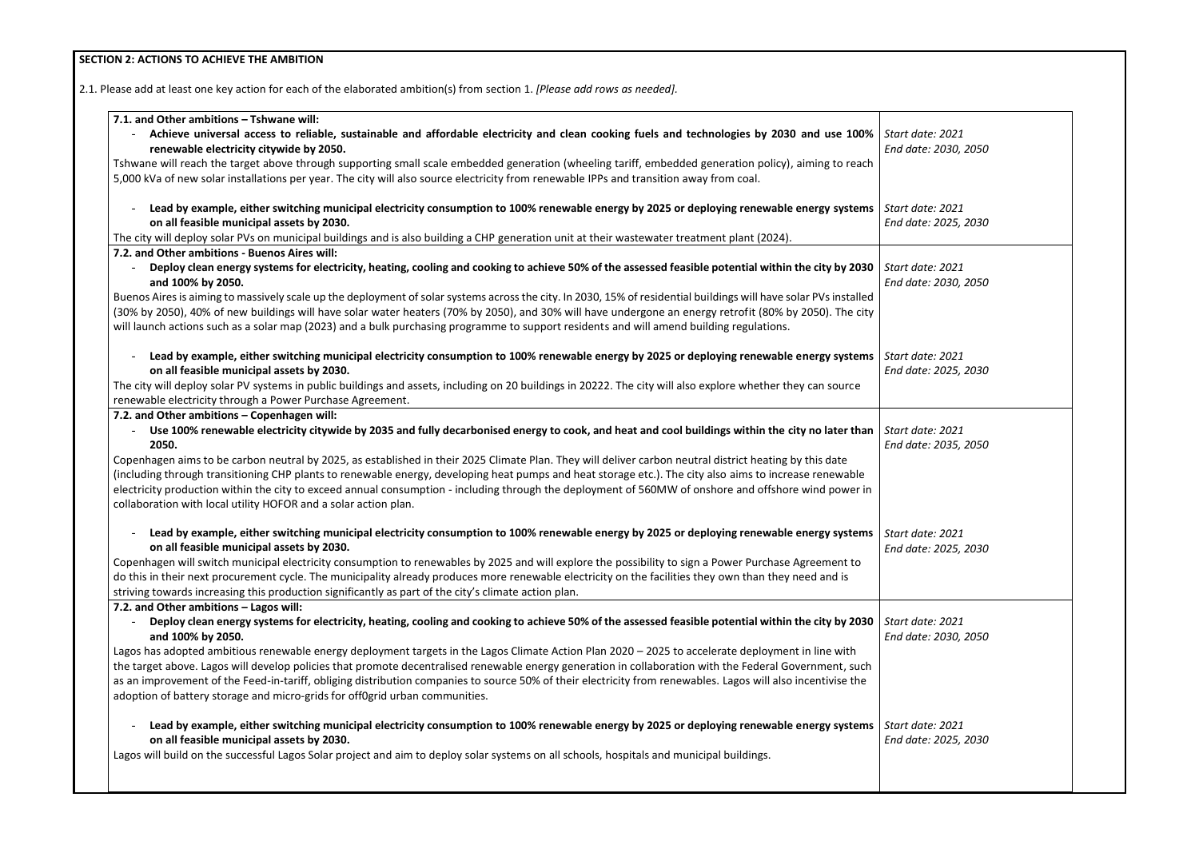# **SECTION 2: ACTIONS TO ACHIEVE THE AMBITION**

2.1. Please add at least one key action for each of the elaborated ambition(s) from section 1. *[Please add rows as needed].*

| 7.1. and Other ambitions - Tshwane will:                                                                                                                                                |                       |
|-----------------------------------------------------------------------------------------------------------------------------------------------------------------------------------------|-----------------------|
| - Achieve universal access to reliable, sustainable and affordable electricity and clean cooking fuels and technologies by 2030 and use 100%                                            | <b>Start</b>          |
| renewable electricity citywide by 2050.                                                                                                                                                 | End c                 |
| Tshwane will reach the target above through supporting small scale embedded generation (wheeling tariff, embedded generation policy), aiming to reach                                   |                       |
| 5,000 kVa of new solar installations per year. The city will also source electricity from renewable IPPs and transition away from coal.                                                 |                       |
| Lead by example, either switching municipal electricity consumption to 100% renewable energy by 2025 or deploying renewable energy systems                                              | <b>Start</b>          |
| on all feasible municipal assets by 2030.                                                                                                                                               | End c                 |
| The city will deploy solar PVs on municipal buildings and is also building a CHP generation unit at their wastewater treatment plant (2024).                                            |                       |
| 7.2. and Other ambitions - Buenos Aires will:                                                                                                                                           |                       |
| Deploy clean energy systems for electricity, heating, cooling and cooking to achieve 50% of the assessed feasible potential within the city by 2030<br>and 100% by 2050.                | <b>Start</b><br>End c |
| Buenos Aires is aiming to massively scale up the deployment of solar systems across the city. In 2030, 15% of residential buildings will have solar PVs installed                       |                       |
| (30% by 2050), 40% of new buildings will have solar water heaters (70% by 2050), and 30% will have undergone an energy retrofit (80% by 2050). The city                                 |                       |
| will launch actions such as a solar map (2023) and a bulk purchasing programme to support residents and will amend building regulations.                                                |                       |
| Lead by example, either switching municipal electricity consumption to 100% renewable energy by 2025 or deploying renewable energy systems                                              | <b>Start</b>          |
| on all feasible municipal assets by 2030.                                                                                                                                               | End c                 |
| The city will deploy solar PV systems in public buildings and assets, including on 20 buildings in 20222. The city will also explore whether they can source                            |                       |
| renewable electricity through a Power Purchase Agreement.                                                                                                                               |                       |
| 7.2. and Other ambitions - Copenhagen will:                                                                                                                                             |                       |
| Use 100% renewable electricity citywide by 2035 and fully decarbonised energy to cook, and heat and cool buildings within the city no later than<br>2050.                               | <b>Start</b><br>End c |
| Copenhagen aims to be carbon neutral by 2025, as established in their 2025 Climate Plan. They will deliver carbon neutral district heating by this date                                 |                       |
| (including through transitioning CHP plants to renewable energy, developing heat pumps and heat storage etc.). The city also aims to increase renewable                                 |                       |
| electricity production within the city to exceed annual consumption - including through the deployment of 560MW of onshore and offshore wind power in                                   |                       |
| collaboration with local utility HOFOR and a solar action plan.                                                                                                                         |                       |
| Lead by example, either switching municipal electricity consumption to 100% renewable energy by 2025 or deploying renewable energy systems<br>on all feasible municipal assets by 2030. | <b>Start</b><br>End c |
| Copenhagen will switch municipal electricity consumption to renewables by 2025 and will explore the possibility to sign a Power Purchase Agreement to                                   |                       |
| do this in their next procurement cycle. The municipality already produces more renewable electricity on the facilities they own than they need and is                                  |                       |
| striving towards increasing this production significantly as part of the city's climate action plan.                                                                                    |                       |
| 7.2. and Other ambitions - Lagos will:                                                                                                                                                  |                       |
| Deploy clean energy systems for electricity, heating, cooling and cooking to achieve 50% of the assessed feasible potential within the city by 2030<br>$\sim$ 10 $\pm$                  | <b>Start</b>          |
| and 100% by 2050.                                                                                                                                                                       | End c                 |
| Lagos has adopted ambitious renewable energy deployment targets in the Lagos Climate Action Plan 2020 - 2025 to accelerate deployment in line with                                      |                       |
| the target above. Lagos will develop policies that promote decentralised renewable energy generation in collaboration with the Federal Government, such                                 |                       |
| as an improvement of the Feed-in-tariff, obliging distribution companies to source 50% of their electricity from renewables. Lagos will also incentivise the                            |                       |
| adoption of battery storage and micro-grids for off0grid urban communities.                                                                                                             |                       |
| Lead by example, either switching municipal electricity consumption to 100% renewable energy by 2025 or deploying renewable energy systems                                              | <b>Start</b>          |
| on all feasible municipal assets by 2030.                                                                                                                                               | End c                 |
| Lagos will build on the successful Lagos Solar project and aim to deploy solar systems on all schools, hospitals and municipal buildings.                                               |                       |
|                                                                                                                                                                                         |                       |
|                                                                                                                                                                                         |                       |

| Start date: 2021<br>End date: 2030, 2050 |  |
|------------------------------------------|--|
| Start date: 2021<br>End date: 2025, 2030 |  |
| Start date: 2021<br>End date: 2030, 2050 |  |
| Start date: 2021<br>End date: 2025, 2030 |  |
| Start date: 2021<br>End date: 2035, 2050 |  |
| Start date: 2021<br>End date: 2025, 2030 |  |
| Start date: 2021<br>End date: 2030, 2050 |  |
| Start date: 2021<br>End date: 2025, 2030 |  |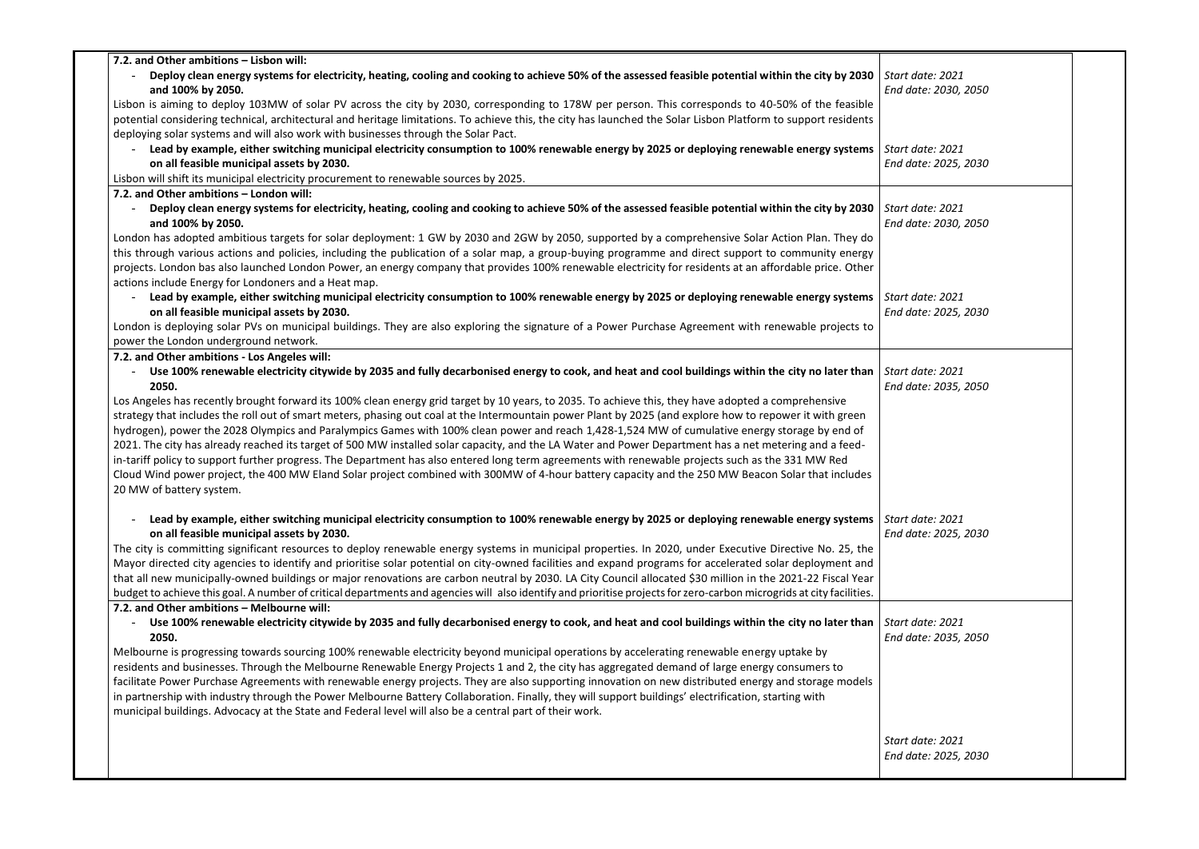| 7.2. and Other ambitions - Lisbon will:                                                                                                                                      |                   |
|------------------------------------------------------------------------------------------------------------------------------------------------------------------------------|-------------------|
| Deploy clean energy systems for electricity, heating, cooling and cooking to achieve 50% of the assessed feasible potential within the city by 2030<br>and 100% by 2050.     | Start o<br>End do |
| Lisbon is aiming to deploy 103MW of solar PV across the city by 2030, corresponding to 178W per person. This corresponds to 40-50% of the feasible                           |                   |
| potential considering technical, architectural and heritage limitations. To achieve this, the city has launched the Solar Lisbon Platform to support residents               |                   |
| deploying solar systems and will also work with businesses through the Solar Pact.                                                                                           |                   |
| Lead by example, either switching municipal electricity consumption to 100% renewable energy by 2025 or deploying renewable energy systems                                   | Start c           |
| on all feasible municipal assets by 2030.                                                                                                                                    | End do            |
| Lisbon will shift its municipal electricity procurement to renewable sources by 2025.                                                                                        |                   |
| 7.2. and Other ambitions - London will:                                                                                                                                      |                   |
| Deploy clean energy systems for electricity, heating, cooling and cooking to achieve 50% of the assessed feasible potential within the city by 2030                          | Start c           |
| and 100% by 2050.                                                                                                                                                            | End do            |
| London has adopted ambitious targets for solar deployment: 1 GW by 2030 and 2GW by 2050, supported by a comprehensive Solar Action Plan. They do                             |                   |
| this through various actions and policies, including the publication of a solar map, a group-buying programme and direct support to community energy                         |                   |
| projects. London bas also launched London Power, an energy company that provides 100% renewable electricity for residents at an affordable price. Other                      |                   |
| actions include Energy for Londoners and a Heat map.                                                                                                                         |                   |
| Lead by example, either switching municipal electricity consumption to 100% renewable energy by 2025 or deploying renewable energy systems                                   | Start o           |
| on all feasible municipal assets by 2030.                                                                                                                                    | End do            |
| London is deploying solar PVs on municipal buildings. They are also exploring the signature of a Power Purchase Agreement with renewable projects to                         |                   |
| power the London underground network.                                                                                                                                        |                   |
| 7.2. and Other ambitions - Los Angeles will:                                                                                                                                 |                   |
| Use 100% renewable electricity citywide by 2035 and fully decarbonised energy to cook, and heat and cool buildings within the city no later than<br>$\overline{\phantom{a}}$ | Start o           |
| 2050.                                                                                                                                                                        | End do            |
| Los Angeles has recently brought forward its 100% clean energy grid target by 10 years, to 2035. To achieve this, they have adopted a comprehensive                          |                   |
| strategy that includes the roll out of smart meters, phasing out coal at the Intermountain power Plant by 2025 (and explore how to repower it with green                     |                   |
| hydrogen), power the 2028 Olympics and Paralympics Games with 100% clean power and reach 1,428-1,524 MW of cumulative energy storage by end of                               |                   |
| 2021. The city has already reached its target of 500 MW installed solar capacity, and the LA Water and Power Department has a net metering and a feed-                       |                   |
| in-tariff policy to support further progress. The Department has also entered long term agreements with renewable projects such as the 331 MW Red                            |                   |
| Cloud Wind power project, the 400 MW Eland Solar project combined with 300MW of 4-hour battery capacity and the 250 MW Beacon Solar that includes                            |                   |
| 20 MW of battery system.                                                                                                                                                     |                   |
|                                                                                                                                                                              |                   |
| Lead by example, either switching municipal electricity consumption to 100% renewable energy by 2025 or deploying renewable energy systems                                   | Start c           |
| on all feasible municipal assets by 2030.                                                                                                                                    | End do            |
| The city is committing significant resources to deploy renewable energy systems in municipal properties. In 2020, under Executive Directive No. 25, the                      |                   |
| Mayor directed city agencies to identify and prioritise solar potential on city-owned facilities and expand programs for accelerated solar deployment and                    |                   |
| that all new municipally-owned buildings or major renovations are carbon neutral by 2030. LA City Council allocated \$30 million in the 2021-22 Fiscal Year                  |                   |
| budget to achieve this goal. A number of critical departments and agencies will also identify and prioritise projects for zero-carbon microgrids at city facilities.         |                   |
| 7.2. and Other ambitions - Melbourne will:                                                                                                                                   |                   |
| Use 100% renewable electricity citywide by 2035 and fully decarbonised energy to cook, and heat and cool buildings within the city no later than<br>2050.                    | Start o<br>End do |
| Melbourne is progressing towards sourcing 100% renewable electricity beyond municipal operations by accelerating renewable energy uptake by                                  |                   |
| residents and businesses. Through the Melbourne Renewable Energy Projects 1 and 2, the city has aggregated demand of large energy consumers to                               |                   |
| facilitate Power Purchase Agreements with renewable energy projects. They are also supporting innovation on new distributed energy and storage models                        |                   |
| in partnership with industry through the Power Melbourne Battery Collaboration. Finally, they will support buildings' electrification, starting with                         |                   |
| municipal buildings. Advocacy at the State and Federal level will also be a central part of their work.                                                                      |                   |
|                                                                                                                                                                              |                   |
|                                                                                                                                                                              | Start o           |
|                                                                                                                                                                              | End do            |

| Start date: 2021<br>End date: 2030, 2050 |  |
|------------------------------------------|--|
| Start date: 2021<br>End date: 2025, 2030 |  |
| Start date: 2021<br>End date: 2030, 2050 |  |
| Start date: 2021<br>End date: 2025, 2030 |  |
| Start date: 2021<br>End date: 2035, 2050 |  |
| Start date: 2021<br>End date: 2025, 2030 |  |
| Start date: 2021<br>End date: 2035, 2050 |  |
| Start date: 2021<br>End date: 2025, 2030 |  |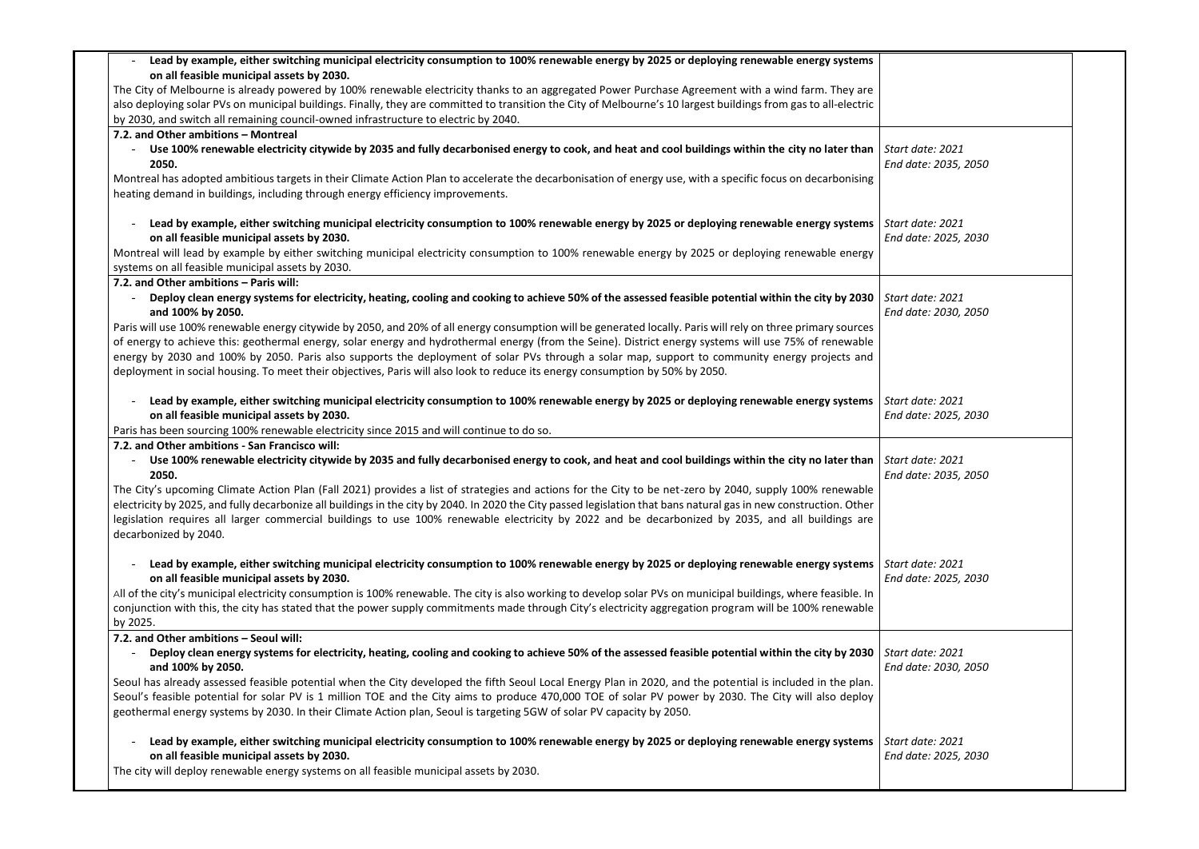| Lead by example, either switching municipal electricity consumption to 100% renewable energy by 2025 or deploying renewable energy systems                                                                                                                                                                                                                                                                                                                                                                                                                                                                |                   |
|-----------------------------------------------------------------------------------------------------------------------------------------------------------------------------------------------------------------------------------------------------------------------------------------------------------------------------------------------------------------------------------------------------------------------------------------------------------------------------------------------------------------------------------------------------------------------------------------------------------|-------------------|
| on all feasible municipal assets by 2030.                                                                                                                                                                                                                                                                                                                                                                                                                                                                                                                                                                 |                   |
| The City of Melbourne is already powered by 100% renewable electricity thanks to an aggregated Power Purchase Agreement with a wind farm. They are                                                                                                                                                                                                                                                                                                                                                                                                                                                        |                   |
| also deploying solar PVs on municipal buildings. Finally, they are committed to transition the City of Melbourne's 10 largest buildings from gas to all-electric                                                                                                                                                                                                                                                                                                                                                                                                                                          |                   |
| by 2030, and switch all remaining council-owned infrastructure to electric by 2040.                                                                                                                                                                                                                                                                                                                                                                                                                                                                                                                       |                   |
| 7.2. and Other ambitions - Montreal                                                                                                                                                                                                                                                                                                                                                                                                                                                                                                                                                                       |                   |
| Use 100% renewable electricity citywide by 2035 and fully decarbonised energy to cook, and heat and cool buildings within the city no later than<br>2050.                                                                                                                                                                                                                                                                                                                                                                                                                                                 | Start c<br>End do |
| Montreal has adopted ambitious targets in their Climate Action Plan to accelerate the decarbonisation of energy use, with a specific focus on decarbonising<br>heating demand in buildings, including through energy efficiency improvements.                                                                                                                                                                                                                                                                                                                                                             |                   |
| Lead by example, either switching municipal electricity consumption to 100% renewable energy by 2025 or deploying renewable energy systems<br>on all feasible municipal assets by 2030.                                                                                                                                                                                                                                                                                                                                                                                                                   | Start o<br>End do |
| Montreal will lead by example by either switching municipal electricity consumption to 100% renewable energy by 2025 or deploying renewable energy<br>systems on all feasible municipal assets by 2030.                                                                                                                                                                                                                                                                                                                                                                                                   |                   |
| 7.2. and Other ambitions - Paris will:                                                                                                                                                                                                                                                                                                                                                                                                                                                                                                                                                                    |                   |
| Deploy clean energy systems for electricity, heating, cooling and cooking to achieve 50% of the assessed feasible potential within the city by 2030<br>and 100% by 2050.                                                                                                                                                                                                                                                                                                                                                                                                                                  | Start o<br>End do |
| Paris will use 100% renewable energy citywide by 2050, and 20% of all energy consumption will be generated locally. Paris will rely on three primary sources<br>of energy to achieve this: geothermal energy, solar energy and hydrothermal energy (from the Seine). District energy systems will use 75% of renewable<br>energy by 2030 and 100% by 2050. Paris also supports the deployment of solar PVs through a solar map, support to community energy projects and<br>deployment in social housing. To meet their objectives, Paris will also look to reduce its energy consumption by 50% by 2050. |                   |
| Lead by example, either switching municipal electricity consumption to 100% renewable energy by 2025 or deploying renewable energy systems<br>on all feasible municipal assets by 2030.<br>Paris has been sourcing 100% renewable electricity since 2015 and will continue to do so.                                                                                                                                                                                                                                                                                                                      | Start o<br>End do |
| 7.2. and Other ambitions - San Francisco will:                                                                                                                                                                                                                                                                                                                                                                                                                                                                                                                                                            |                   |
| Use 100% renewable electricity citywide by 2035 and fully decarbonised energy to cook, and heat and cool buildings within the city no later than<br>2050.                                                                                                                                                                                                                                                                                                                                                                                                                                                 | Start o<br>End do |
| The City's upcoming Climate Action Plan (Fall 2021) provides a list of strategies and actions for the City to be net-zero by 2040, supply 100% renewable<br>electricity by 2025, and fully decarbonize all buildings in the city by 2040. In 2020 the City passed legislation that bans natural gas in new construction. Other<br>legislation requires all larger commercial buildings to use 100% renewable electricity by 2022 and be decarbonized by 2035, and all buildings are<br>decarbonized by 2040.                                                                                              |                   |
| Lead by example, either switching municipal electricity consumption to 100% renewable energy by 2025 or deploying renewable energy systems<br>on all feasible municipal assets by 2030.                                                                                                                                                                                                                                                                                                                                                                                                                   | Start o<br>End do |
| All of the city's municipal electricity consumption is 100% renewable. The city is also working to develop solar PVs on municipal buildings, where feasible. In<br>conjunction with this, the city has stated that the power supply commitments made through City's electricity aggregation program will be 100% renewable                                                                                                                                                                                                                                                                                |                   |
| by 2025.                                                                                                                                                                                                                                                                                                                                                                                                                                                                                                                                                                                                  |                   |
| 7.2. and Other ambitions - Seoul will:<br>Deploy clean energy systems for electricity, heating, cooling and cooking to achieve 50% of the assessed feasible potential within the city by 2030<br>and 100% by 2050.                                                                                                                                                                                                                                                                                                                                                                                        | Start o<br>End do |
| Seoul has already assessed feasible potential when the City developed the fifth Seoul Local Energy Plan in 2020, and the potential is included in the plan.                                                                                                                                                                                                                                                                                                                                                                                                                                               |                   |
| Seoul's feasible potential for solar PV is 1 million TOE and the City aims to produce 470,000 TOE of solar PV power by 2030. The City will also deploy<br>geothermal energy systems by 2030. In their Climate Action plan, Seoul is targeting 5GW of solar PV capacity by 2050.                                                                                                                                                                                                                                                                                                                           |                   |
| Lead by example, either switching municipal electricity consumption to 100% renewable energy by 2025 or deploying renewable energy systems<br>on all feasible municipal assets by 2030.<br>The city will deploy renewable energy systems on all feasible municipal assets by 2030.                                                                                                                                                                                                                                                                                                                        | Start o<br>End do |
|                                                                                                                                                                                                                                                                                                                                                                                                                                                                                                                                                                                                           |                   |

| Start date: 2021<br>End date: 2035, 2050 |  |
|------------------------------------------|--|
| Start date: 2021<br>End date: 2025, 2030 |  |
| Start date: 2021<br>End date: 2030, 2050 |  |
| Start date: 2021<br>End date: 2025, 2030 |  |
| Start date: 2021<br>End date: 2035, 2050 |  |
| Start date: 2021<br>End date: 2025, 2030 |  |
| Start date: 2021<br>End date: 2030, 2050 |  |
| Start date: 2021<br>End date: 2025, 2030 |  |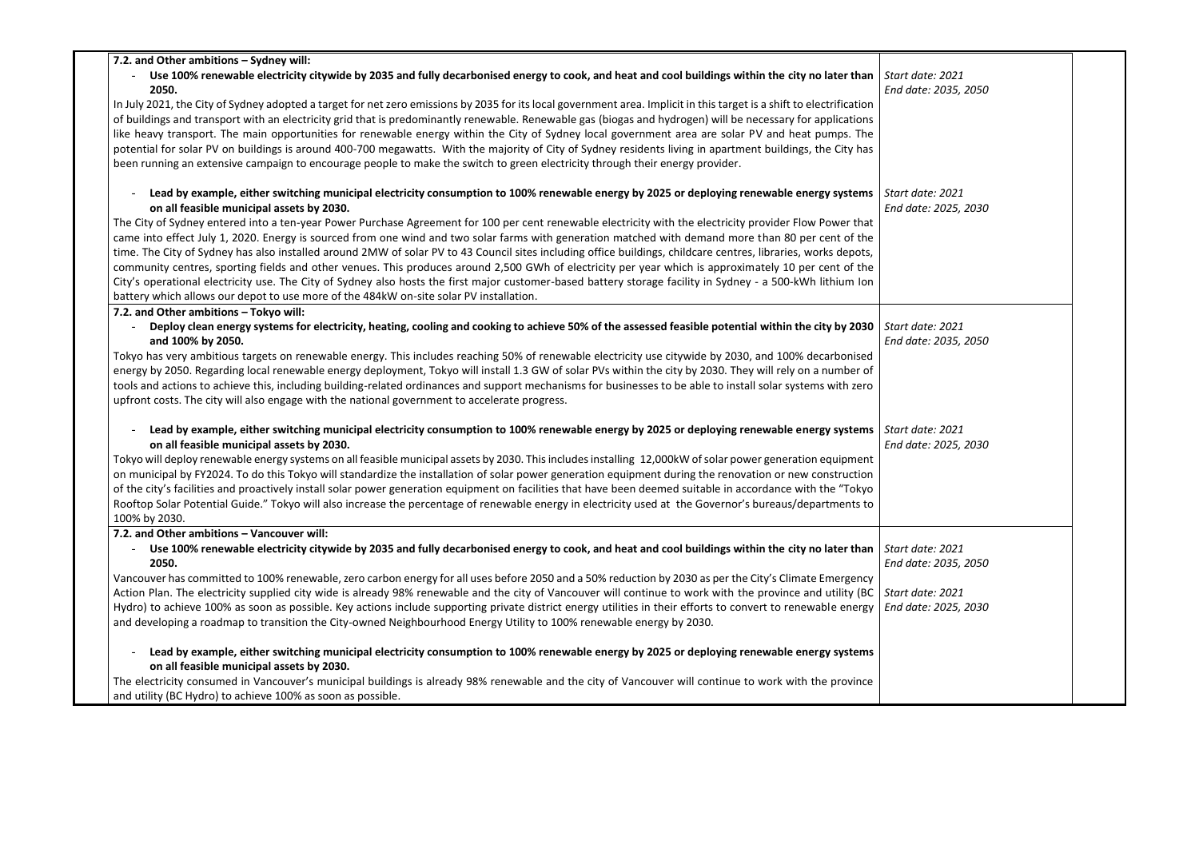| 7.2. and Other ambitions - Sydney will:                                                                                                                                                             |                      |  |
|-----------------------------------------------------------------------------------------------------------------------------------------------------------------------------------------------------|----------------------|--|
| Use 100% renewable electricity citywide by 2035 and fully decarbonised energy to cook, and heat and cool buildings within the city no later than                                                    | Start date: 2021     |  |
| 2050.                                                                                                                                                                                               | End date: 2035, 2050 |  |
| In July 2021, the City of Sydney adopted a target for net zero emissions by 2035 for its local government area. Implicit in this target is a shift to electrification                               |                      |  |
| of buildings and transport with an electricity grid that is predominantly renewable. Renewable gas (biogas and hydrogen) will be necessary for applications                                         |                      |  |
| like heavy transport. The main opportunities for renewable energy within the City of Sydney local government area are solar PV and heat pumps. The                                                  |                      |  |
| potential for solar PV on buildings is around 400-700 megawatts. With the majority of City of Sydney residents living in apartment buildings, the City has                                          |                      |  |
| been running an extensive campaign to encourage people to make the switch to green electricity through their energy provider.                                                                       |                      |  |
|                                                                                                                                                                                                     |                      |  |
| Lead by example, either switching municipal electricity consumption to 100% renewable energy by 2025 or deploying renewable energy systems                                                          | Start date: 2021     |  |
| on all feasible municipal assets by 2030.                                                                                                                                                           | End date: 2025, 2030 |  |
| The City of Sydney entered into a ten-year Power Purchase Agreement for 100 per cent renewable electricity with the electricity provider Flow Power that                                            |                      |  |
| came into effect July 1, 2020. Energy is sourced from one wind and two solar farms with generation matched with demand more than 80 per cent of the                                                 |                      |  |
| time. The City of Sydney has also installed around 2MW of solar PV to 43 Council sites including office buildings, childcare centres, libraries, works depots,                                      |                      |  |
| community centres, sporting fields and other venues. This produces around 2,500 GWh of electricity per year which is approximately 10 per cent of the                                               |                      |  |
| City's operational electricity use. The City of Sydney also hosts the first major customer-based battery storage facility in Sydney - a 500-kWh lithium Ion                                         |                      |  |
| battery which allows our depot to use more of the 484kW on-site solar PV installation.                                                                                                              |                      |  |
| 7.2. and Other ambitions - Tokyo will:                                                                                                                                                              |                      |  |
| Deploy clean energy systems for electricity, heating, cooling and cooking to achieve 50% of the assessed feasible potential within the city by 2030                                                 | Start date: 2021     |  |
| and 100% by 2050.                                                                                                                                                                                   | End date: 2035, 2050 |  |
| Tokyo has very ambitious targets on renewable energy. This includes reaching 50% of renewable electricity use citywide by 2030, and 100% decarbonised                                               |                      |  |
| energy by 2050. Regarding local renewable energy deployment, Tokyo will install 1.3 GW of solar PVs within the city by 2030. They will rely on a number of                                          |                      |  |
| tools and actions to achieve this, including building-related ordinances and support mechanisms for businesses to be able to install solar systems with zero                                        |                      |  |
| upfront costs. The city will also engage with the national government to accelerate progress.                                                                                                       |                      |  |
|                                                                                                                                                                                                     |                      |  |
| Lead by example, either switching municipal electricity consumption to 100% renewable energy by 2025 or deploying renewable energy systems                                                          | Start date: 2021     |  |
| on all feasible municipal assets by 2030.                                                                                                                                                           | End date: 2025, 2030 |  |
| Tokyo will deploy renewable energy systems on all feasible municipal assets by 2030. This includes installing 12,000kW of solar power generation equipment                                          |                      |  |
| on municipal by FY2024. To do this Tokyo will standardize the installation of solar power generation equipment during the renovation or new construction                                            |                      |  |
| of the city's facilities and proactively install solar power generation equipment on facilities that have been deemed suitable in accordance with the "Tokyo                                        |                      |  |
| Rooftop Solar Potential Guide." Tokyo will also increase the percentage of renewable energy in electricity used at the Governor's bureaus/departments to                                            |                      |  |
| 100% by 2030.                                                                                                                                                                                       |                      |  |
| 7.2. and Other ambitions - Vancouver will:                                                                                                                                                          |                      |  |
| Use 100% renewable electricity citywide by 2035 and fully decarbonised energy to cook, and heat and cool buildings within the city no later than                                                    | Start date: 2021     |  |
| 2050.                                                                                                                                                                                               | End date: 2035, 2050 |  |
| Vancouver has committed to 100% renewable, zero carbon energy for all uses before 2050 and a 50% reduction by 2030 as per the City's Climate Emergency                                              |                      |  |
| Action Plan. The electricity supplied city wide is already 98% renewable and the city of Vancouver will continue to work with the province and utility (BC                                          | Start date: 2021     |  |
| Hydro) to achieve 100% as soon as possible. Key actions include supporting private district energy utilities in their efforts to convert to renewable energy                                        | End date: 2025, 2030 |  |
| and developing a roadmap to transition the City-owned Neighbourhood Energy Utility to 100% renewable energy by 2030.                                                                                |                      |  |
|                                                                                                                                                                                                     |                      |  |
| Lead by example, either switching municipal electricity consumption to 100% renewable energy by 2025 or deploying renewable energy systems                                                          |                      |  |
| on all feasible municipal assets by 2030.<br>The electricity consumed in Vancouver's municipal buildings is already 98% renewable and the city of Vancouver will continue to work with the province |                      |  |
| and utility (BC Hydro) to achieve 100% as soon as possible.                                                                                                                                         |                      |  |
|                                                                                                                                                                                                     |                      |  |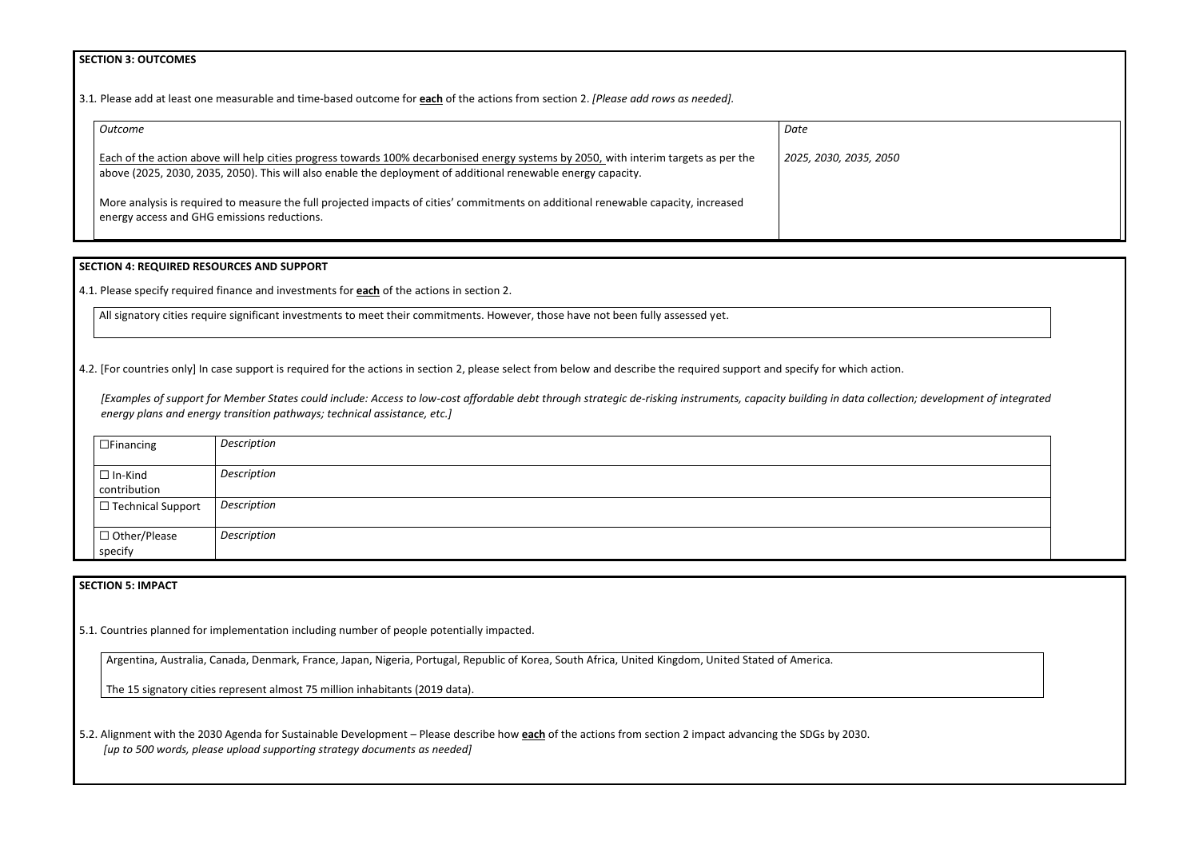#### **SECTION 3: OUTCOMES**

3.1*.* Please add at least one measurable and time-based outcome for **each** of the actions from section 2. *[Please add rows as needed].*

| Outcome                                                                                                                                                                                                                                               | Date                   |
|-------------------------------------------------------------------------------------------------------------------------------------------------------------------------------------------------------------------------------------------------------|------------------------|
| Each of the action above will help cities progress towards 100% decarbonised energy systems by 2050, with interim targets as per the<br>above (2025, 2030, 2035, 2050). This will also enable the deployment of additional renewable energy capacity. | 2025, 2030, 2035, 2050 |
| More analysis is required to measure the full projected impacts of cities' commitments on additional renewable capacity, increased<br>energy access and GHG emissions reductions.                                                                     |                        |

## **SECTION 4: REQUIRED RESOURCES AND SUPPORT**

4.1. Please specify required finance and investments for **each** of the actions in section 2.

All signatory cities require significant investments to meet their commitments. However, those have not been fully assessed yet.

4.2. [For countries only] In case support is required for the actions in section 2, please select from below and describe the required support and specify for which action.

*[Examples of support for Member States could include: Access to low-cost affordable debt through strategic de-risking instruments, capacity building in data collection; development of integrated energy plans and energy transition pathways; technical assistance, etc.]*

| $\Box$ Financing               | Description |
|--------------------------------|-------------|
| $\Box$ In-Kind<br>contribution | Description |
| $\Box$ Technical Support       | Description |
| □ Other/Please<br>specify      | Description |

# **SECTION 5: IMPACT**

5.1. Countries planned for implementation including number of people potentially impacted.

Argentina, Australia, Canada, Denmark, France, Japan, Nigeria, Portugal, Republic of Korea, South Africa, United Kingdom, United Stated of America.

The 15 signatory cities represent almost 75 million inhabitants (2019 data).

5.2. Alignment with the 2030 Agenda for Sustainable Development – Please describe how **each** of the actions from section 2 impact advancing the SDGs by 2030. *[up to 500 words, please upload supporting strategy documents as needed]* 

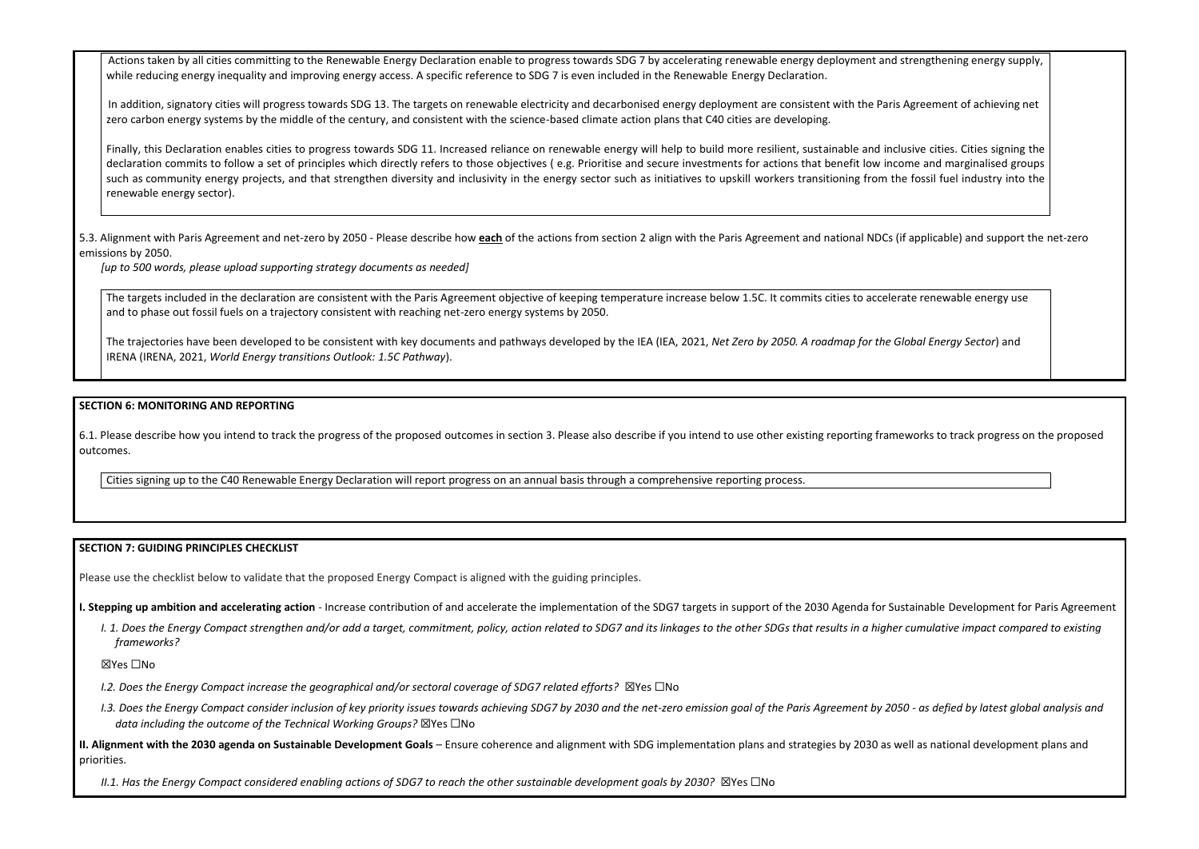Actions taken by all cities committing to the Renewable Energy Declaration enable to progress towards SDG 7 by accelerating renewable energy deployment and strengthening energy supply, and strengthening energy supply, and while reducing energy inequality and improving energy access. A specific reference to SDG 7 is even included in the Renewable Energy Declaration.

In addition, signatory cities will progress towards SDG 13. The targets on renewable electricity and decarbonised energy deployment are consistent with the Paris Agreement of achieving networks and the achieving networks a zero carbon energy systems by the middle of the century, and consistent with the science-based climate action plans that C40 cities are developing.

Finally, this Declaration enables cities to progress towards SDG 11. Increased reliance on renewable energy will help to build more resilient, sustainable and inclu declaration commits to follow a set of principles which directly refers to those objectives (e.g. Prioritise and secure investments for actions that benefit low incore such as community energy projects, and that strengthen diversity and inclusivity in the energy sector such as initiatives to upskill workers transitioning from the renewable energy sector).

5.3. Alignment with Paris Agreement and net-zero by 2050 - Please describe how each of the actions from section 2 align with the Paris Agreement and national NDCs (if emissions by 2050.

The targets included in the declaration are consistent with the Paris Agreement objective of keeping temperature increase below 1.5C. It commits cities to accelera and to phase out fossil fuels on a trajectory consistent with reaching net-zero energy systems by 2050.

The trajectories have been developed to be consistent with key documents and pathways developed by the IEA (IEA, 2021, *Net Zero by 2050. A roadmap for the GI* IRENA (IRENA, 2021, *World Energy transitions Outlook: 1.5C Pathway*).

*[up to 500 words, please upload supporting strategy documents as needed]* 

# **SECTION 6: MONITORING AND REPORTING**

6.1. Please describe how you intend to track the progress of the proposed outcomes in section 3. Please also describe if you intend to use other existing reporting frameworks to track progress on the proposed outcomes.

Cities signing up to the C40 Renewable Energy Declaration will report progress on an annual basis through a comprehensive reporting process.

# **SECTION 7: GUIDING PRINCIPLES CHECKLIST**

Please use the checklist below to validate that the proposed Energy Compact is aligned with the guiding principles.

**I. Stepping up ambition and accelerating action** - Increase contribution of and accelerate the implementation of the SDG7 targets in support of the 2030 Agenda for Sustainable Development for Paris Agreement

*I. 1. Does the Energy Compact strengthen and/or add a target, commitment, policy, action related to SDG7 and its linkages to the other SDGs that results in a higher cumulative impact compared to existing frameworks?* 

☒Yes ☐No

- *I.2. Does the Energy Compact increase the geographical and/or sectoral coverage of SDG7 related efforts?* ☒Yes ☐No
- *I.3. Does the Energy Compact consider inclusion of key priority issues towards achieving SDG7 by 2030 and the net-zero emission goal of the Paris Agreement by 2050 - as defied by latest global analysis and data including the outcome of the Technical Working Groups?* ☒Yes ☐No

**II. Alignment with the 2030 agenda on Sustainable Development Goals** – Ensure coherence and alignment with SDG implementation plans and strategies by 2030 as well as national development plans and priorities.

*II.1. Has the Energy Compact considered enabling actions of SDG7 to reach the other sustainable development goals by 2030?* ⊠Yes □No

| trengthening energy supply,                                                                       |  |
|---------------------------------------------------------------------------------------------------|--|
| Agreement of achieving net                                                                        |  |
| usive cities. Cities signing the<br>me and marginalised groups<br>e fossil fuel industry into the |  |
| f applicable) and support the net-zero                                                            |  |
| ate renewable energy use                                                                          |  |
| obal Energy Sector) and                                                                           |  |
|                                                                                                   |  |
|                                                                                                   |  |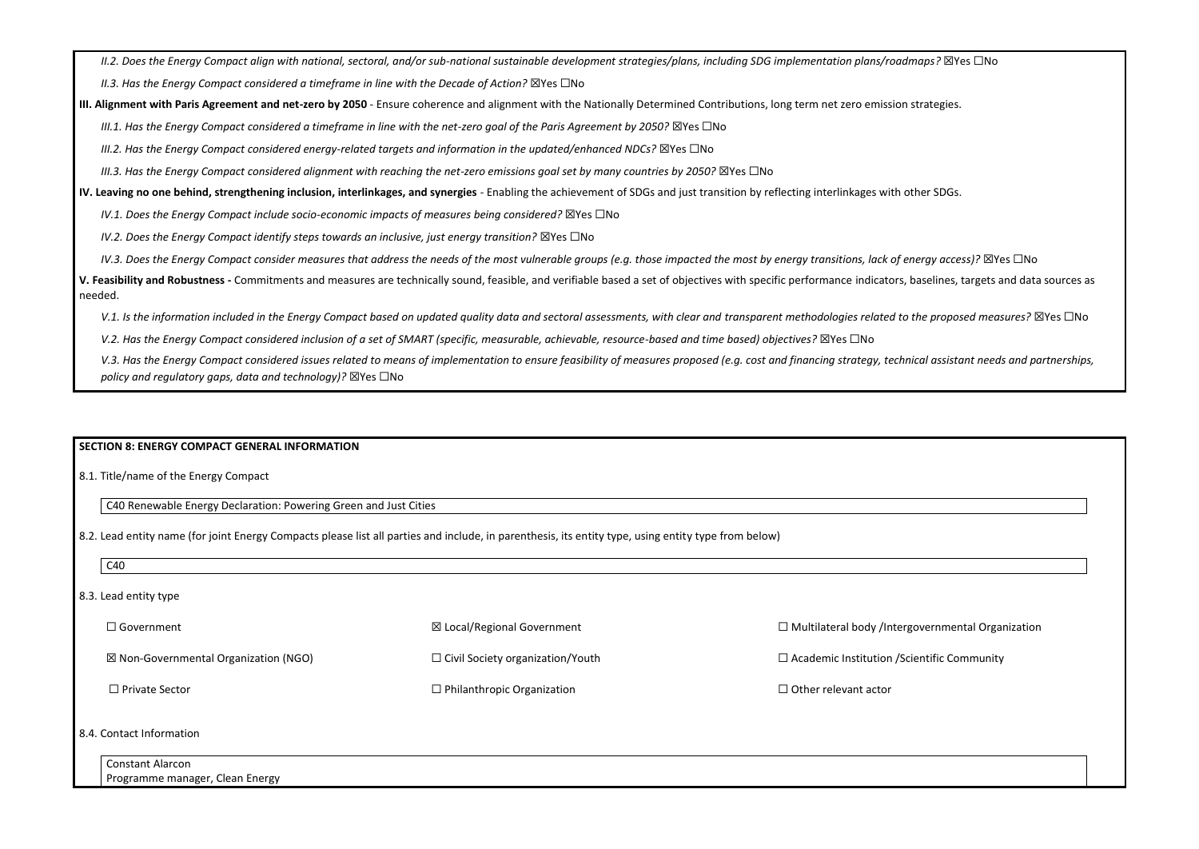*II.2. Does the Energy Compact align with national, sectoral, and/or sub-national sustainable development strategies/plans, including SDG implementation plans/roadmaps?* ☒Yes ☐No

*II.3. Has the Energy Compact considered a timeframe in line with the Decade of Action?* ⊠Yes □No

**III. Alignment with Paris Agreement and net-zero by 2050** - Ensure coherence and alignment with the Nationally Determined Contributions, long term net zero emission strategies.

*III.1. Has the Energy Compact considered a timeframe in line with the net-zero goal of the Paris Agreement by 2050?* ⊠Yes □No

*III.2. Has the Energy Compact considered energy-related targets and information in the updated/enhanced NDCs?* ☒Yes ☐No

*III.3. Has the Energy Compact considered alignment with reaching the net-zero emissions goal set by many countries by 2050?* ⊠Yes □No

*IV.3. Does the Energy Compact consider measures that address the needs of the most vulnerable groups (e.g. those impacted the most by energy transitions, lack of energy access)?* ⊠Yes □No **V. Feasibility and Robustness -** Commitments and measures are technically sound, feasible, and verifiable based a set of objectives with specific performance indicators, baselines, targets and data sources as needed.

V.1. Is the information included in the Energy Compact based on updated quality data and sectoral assessments, with clear and *transparent methodologies related to the proposed measures?* ⊠Yes □No

*V.2. Has the Energy Compact considered inclusion of a set of SMART (specific, measurable, achievable, resource-based and time based) objectives?* ⊠Yes □No

V.3. Has the Energy Compact considered issues related to means of implementation to ensure feasibility of measures proposed (e.g. cost and financing strategy, technical assistant needs and partnerships, *policy and regulatory gaps, data and technology)?* ⊠Yes □No

**IV. Leaving no one behind, strengthening inclusion, interlinkages, and synergies** - Enabling the achievement of SDGs and just transition by reflecting interlinkages with other SDGs.

*IV.1. Does the Energy Compact include socio-economic impacts of measures being considered?* ⊠Yes □No

*IV.2. Does the Energy Compact identify steps towards an inclusive, just energy transition?* ⊠Yes □No

# **SECTION 8: ENERGY COMPACT GENERAL INFORMATION**

8.1. Title/name of the Energy Compact

C40 Renewable Energy Declaration: Powering Green and Just Cities

8.2. Lead entity name (for joint Energy Compacts please list all parties and include, in parenthesis, its entity type, using entity type from below)

C40

| 8.3. Lead entity type |                                                 |                                         |                                                    |  |
|-----------------------|-------------------------------------------------|-----------------------------------------|----------------------------------------------------|--|
|                       | $\Box$ Government                               | $\boxtimes$ Local/Regional Government   | □ Multilateral body /Intergovernmental Orgar       |  |
|                       | $\boxtimes$ Non-Governmental Organization (NGO) | $\Box$ Civil Society organization/Youth | $\Box$ Academic Institution / Scientific Community |  |
|                       | $\Box$ Private Sector                           | $\Box$ Philanthropic Organization       | $\Box$ Other relevant actor                        |  |
|                       |                                                 |                                         |                                                    |  |

| $\Box$ Multilateral body /Intergovernmental Organization |  |  |  |
|----------------------------------------------------------|--|--|--|
| □ Academic Institution / Scientific Community            |  |  |  |
| $\Box$ Other relevant actor                              |  |  |  |
|                                                          |  |  |  |
|                                                          |  |  |  |

### 8.4. Contact Information

| Constant Alarcon                    |  |
|-------------------------------------|--|
| Programme manager<br>, Clean Energy |  |